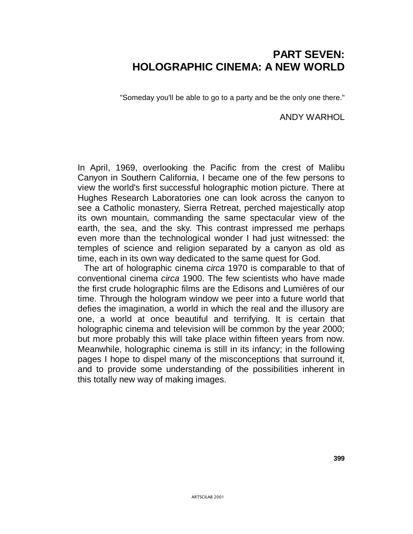## **PART SEVEN: HOLOGRAPHIC CINEMA: A NEW WORLD**

"Someday you'll be able to go to a party and be the only one there."

### ANDY WARHOL

In April, 1969, overlooking the Pacific from the crest of Malibu Canyon in Southern California, I became one of the few persons to view the world's first successful holographic motion picture. There at Hughes Research Laboratories one can look across the canyon to see a Catholic monastery, Sierra Retreat, perched majestically atop its own mountain, commanding the same spectacular view of the earth, the sea, and the sky. This contrast impressed me perhaps even more than the technological wonder I had just witnessed: the temples of science and religion separated by a canyon as old as time, each in its own way dedicated to the same quest for God.

The art of holographic cinema *circa* 1970 is comparable to that of conventional cinema *circa* 1900. The few scientists who have made the first crude holographic films are the Edisons and Lumières of our time. Through the hologram window we peer into a future world that defies the imagination, a world in which the real and the illusory are one, a world at once beautiful and terrifying. It is certain that holographic cinema and television will be common by the year 2000; but more probably this will take place within fifteen years from now. Meanwhile, holographic cinema is still in its infancy; in the following pages I hope to dispel many of the misconceptions that surround it, and to provide some understanding of the possibilities inherent in this totally new way of making images.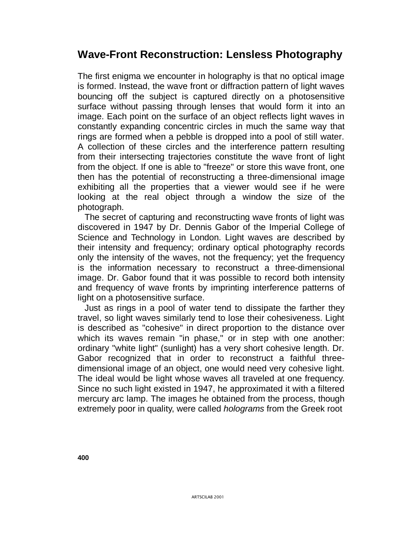# **Wave-Front Reconstruction: Lensless Photography**

The first enigma we encounter in holography is that no optical image is formed. Instead, the wave front or diffraction pattern of light waves bouncing off the subject is captured directly on a photosensitive surface without passing through lenses that would form it into an image. Each point on the surface of an object reflects light waves in constantly expanding concentric circles in much the same way that rings are formed when a pebble is dropped into a pool of still water. A collection of these circles and the interference pattern resulting from their intersecting trajectories constitute the wave front of light from the object. If one is able to "freeze" or store this wave front, one then has the potential of reconstructing a three-dimensional image exhibiting all the properties that a viewer would see if he were looking at the real object through a window the size of the photograph.

The secret of capturing and reconstructing wave fronts of light was discovered in 1947 by Dr. Dennis Gabor of the Imperial College of Science and Technology in London. Light waves are described by their intensity and frequency; ordinary optical photography records only the intensity of the waves, not the frequency; yet the frequency is the information necessary to reconstruct a three-dimensional image. Dr. Gabor found that it was possible to record both intensity and frequency of wave fronts by imprinting interference patterns of light on a photosensitive surface.

Just as rings in a pool of water tend to dissipate the farther they travel, so light waves similarly tend to lose their cohesiveness. Light is described as "cohesive" in direct proportion to the distance over which its waves remain "in phase," or in step with one another: ordinary "white light" (sunlight) has a very short cohesive length. Dr. Gabor recognized that in order to reconstruct a faithful threedimensional image of an object, one would need very cohesive light. The ideal would be light whose waves all traveled at one frequency. Since no such light existed in 1947, he approximated it with a filtered mercury arc lamp. The images he obtained from the process, though extremely poor in quality, were called *holograms* from the Greek root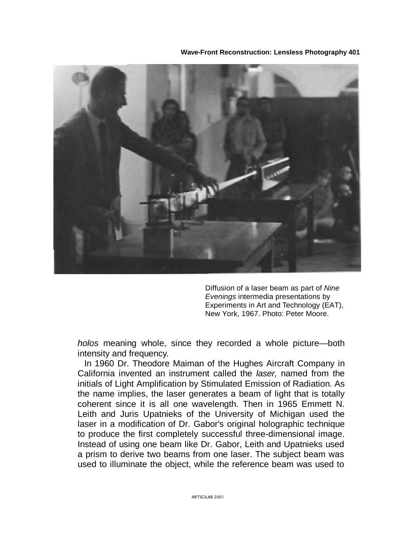**Wave-Front Reconstruction: Lensless Photography 401** 



Diffusion of a laser beam as part of *Nine Evenings* intermedia presentations by Experiments in Art and Technology (EAT), New York, 1967. Photo: Peter Moore.

*holos* meaning whole, since they recorded a whole picture— both intensity and frequency.

In 1960 Dr. Theodore Maiman of the Hughes Aircraft Company in California invented an instrument called the *laser,* named from the initials of Light Amplification by Stimulated Emission of Radiation. As the name implies, the laser generates a beam of light that is totally coherent since it is all one wavelength. Then in 1965 Emmett N. Leith and Juris Upatnieks of the University of Michigan used the laser in a modification of Dr. Gabor's original holographic technique to produce the first completely successful three-dimensional image. Instead of using one beam like Dr. Gabor, Leith and Upatnieks used a prism to derive two beams from one laser. The subject beam was used to illuminate the object, while the reference beam was used to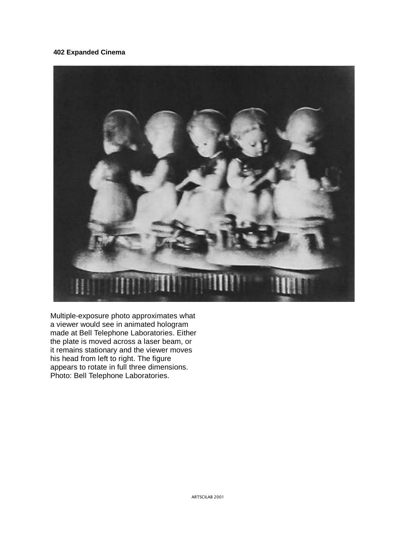

Multiple-exposure photo approximates what a viewer would see in animated hologram made at Bell Telephone Laboratories. Either the plate is moved across a laser beam, or it remains stationary and the viewer moves his head from left to right. The figure appears to rotate in full three dimensions. Photo: Bell Telephone Laboratories.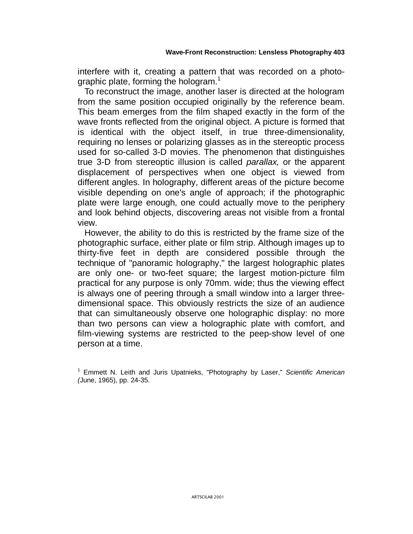interfere with it, creating a pattern that was recorded on a photographic plate, forming the hologram.<sup>1</sup>

To reconstruct the image, another laser is directed at the hologram from the same position occupied originally by the reference beam. This beam emerges from the film shaped exactly in the form of the wave fronts reflected from the original object. A picture is formed that is identical with the object itself, in true three-dimensionality, requiring no lenses or polarizing glasses as in the stereoptic process used for so-called 3-D movies. The phenomenon that distinguishes true 3-D from stereoptic illusion is called *parallax,* or the apparent displacement of perspectives when one object is viewed from different angles. In holography, different areas of the picture become visible depending on one's angle of approach; if the photographic plate were large enough, one could actually move to the periphery and look behind objects, discovering areas not visible from a frontal view.

However, the ability to do this is restricted by the frame size of the photographic surface, either plate or film strip. Although images up to thirty-five feet in depth are considered possible through the technique of "panoramic holography," the largest holographic plates are only one- or two-feet square; the largest motion-picture film practical for any purpose is only 70mm. wide; thus the viewing effect is always one of peering through a small window into a larger threedimensional space. This obviously restricts the size of an audience that can simultaneously observe one holographic display: no more than two persons can view a holographic plate with comfort, and film-viewing systems are restricted to the peep-show level of one person at a time.

<sup>1</sup> Emmett N. Leith and Juris Upatnieks, "Photography by Laser," *Scientific American (*June, 1965), pp. 24-35.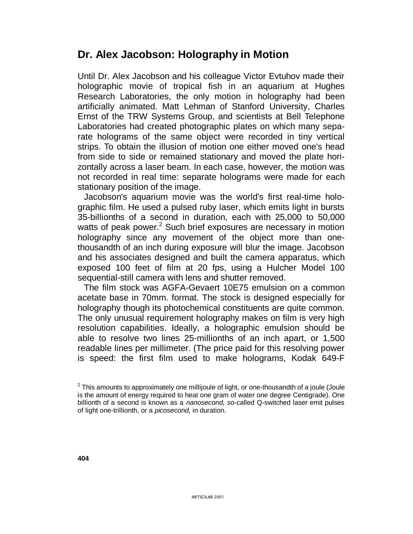# **Dr. Alex Jacobson: Holography in Motion**

Until Dr. Alex Jacobson and his colleague Victor Evtuhov made their holographic movie of tropical fish in an aquarium at Hughes Research Laboratories, the only motion in holography had been artificially animated. Matt Lehman of Stanford University, Charles Ernst of the TRW Systems Group, and scientists at Bell Telephone Laboratories had created photographic plates on which many separate holograms of the same object were recorded in tiny vertical strips. To obtain the illusion of motion one either moved one's head from side to side or remained stationary and moved the plate horizontally across a laser beam. In each case, however, the motion was not recorded in real time: separate holograms were made for each stationary position of the image.

Jacobson's aquarium movie was the world's first real-time holographic film. He used a pulsed ruby laser, which emits light in bursts 35-billionths of a second in duration, each with 25,000 to 50,000 watts of peak power.<sup>2</sup> Such brief exposures are necessary in motion holography since any movement of the object more than onethousandth of an inch during exposure will blur the image. Jacobson and his associates designed and built the camera apparatus, which exposed 100 feet of film at 20 fps, using a Hulcher Model 100 sequential-still camera with lens and shutter removed.

The film stock was AGFA-Gevaert 10E75 emulsion on a common acetate base in 70mm. format. The stock is designed especially for holography though its photochemical constituents are quite common. The only unusual requirement holography makes on film is very high resolution capabilities. Ideally, a holographic emulsion should be able to resolve two lines 25-millionths of an inch apart, or 1,500 readable lines per millimeter. (The price paid for this resolving power is speed: the first film used to make holograms, Kodak 649-F

 $2$  This amounts to approximately one millijoule of light, or one-thousandth of a joule (Joule is the amount of energy required to heat one gram of water one degree Centigrade). One billionth of a second is known as a *nanosecond, so*-called Q-switched laser emit pulses of light one-trillionth, or a *picosecond,* in duration.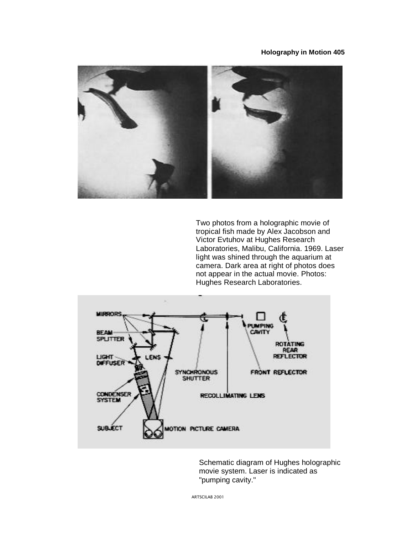#### **Holography in Motion 405**



Two photos from a holographic movie of tropical fish made by Alex Jacobson and Victor Evtuhov at Hughes Research Laboratories, Malibu, California. 1969. Laser light was shined through the aquarium at camera. Dark area at right of photos does not appear in the actual movie. Photos: Hughes Research Laboratories.



Schematic diagram of Hughes holographic movie system. Laser is indicated as "pumping cavity."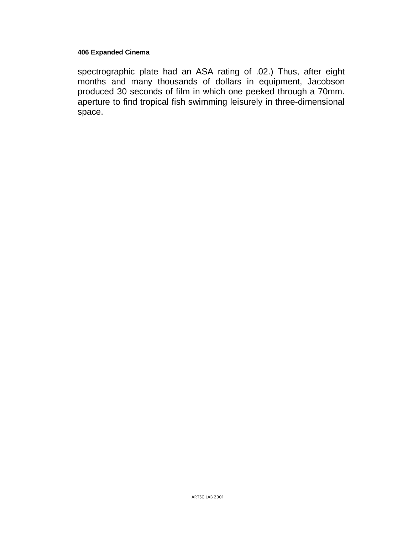spectrographic plate had an ASA rating of .02.) Thus, after eight months and many thousands of dollars in equipment, Jacobson produced 30 seconds of film in which one peeked through a 70mm. aperture to find tropical fish swimming leisurely in three-dimensional space.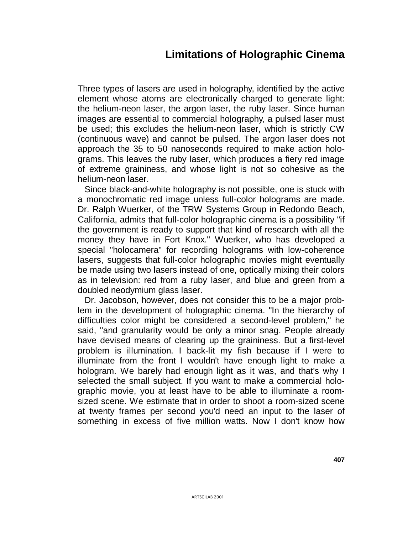# **Limitations of Holographic Cinema**

Three types of lasers are used in holography, identified by the active element whose atoms are electronically charged to generate light: the helium-neon laser, the argon laser, the ruby laser. Since human images are essential to commercial holography, a pulsed laser must be used; this excludes the helium-neon laser, which is strictly CW (continuous wave) and cannot be pulsed. The argon laser does not approach the 35 to 50 nanoseconds required to make action holograms. This leaves the ruby laser, which produces a fiery red image of extreme graininess, and whose light is not so cohesive as the helium-neon laser.

Since black-and-white holography is not possible, one is stuck with a monochromatic red image unless full-color holograms are made. Dr. Ralph Wuerker, of the TRW Systems Group in Redondo Beach, California, admits that full-color holographic cinema is a possibility "if the government is ready to support that kind of research with all the money they have in Fort Knox." Wuerker, who has developed a special "holocamera" for recording holograms with low-coherence lasers, suggests that full-color holographic movies might eventually be made using two lasers instead of one, optically mixing their colors as in television: red from a ruby laser, and blue and green from a doubled neodymium glass laser.

Dr. Jacobson, however, does not consider this to be a major problem in the development of holographic cinema. "In the hierarchy of difficulties color might be considered a second-level problem," he said, "and granularity would be only a minor snag. People already have devised means of clearing up the graininess. But a first-level problem is illumination. I back-lit my fish because if I were to illuminate from the front I wouldn't have enough light to make a hologram. We barely had enough light as it was, and that's why I selected the small subject. If you want to make a commercial holographic movie, you at least have to be able to illuminate a roomsized scene. We estimate that in order to shoot a room-sized scene at twenty frames per second you'd need an input to the laser of something in excess of five million watts. Now I don't know how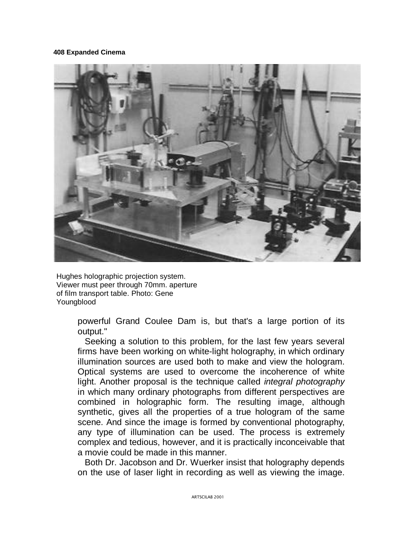

Hughes holographic projection system. Viewer must peer through 70mm. aperture of film transport table. Photo: Gene Youngblood

> powerful Grand Coulee Dam is, but that's a large portion of its output."

> Seeking a solution to this problem, for the last few years several firms have been working on white-light holography, in which ordinary illumination sources are used both to make and view the hologram. Optical systems are used to overcome the incoherence of white light. Another proposal is the technique called *integral photography* in which many ordinary photographs from different perspectives are combined in holographic form. The resulting image, although synthetic, gives all the properties of a true hologram of the same scene. And since the image is formed by conventional photography, any type of illumination can be used. The process is extremely complex and tedious, however, and it is practically inconceivable that a movie could be made in this manner.

> Both Dr. Jacobson and Dr. Wuerker insist that holography depends on the use of laser light in recording as well as viewing the image.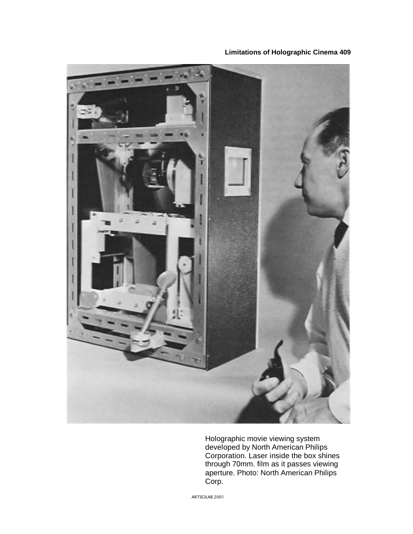#### **Limitations of Holographic Cinema 409**



Holographic movie viewing system developed by North American Philips Corporation. Laser inside the box shines through 70mm. film as it passes viewing aperture. Photo: North American Philips Corp.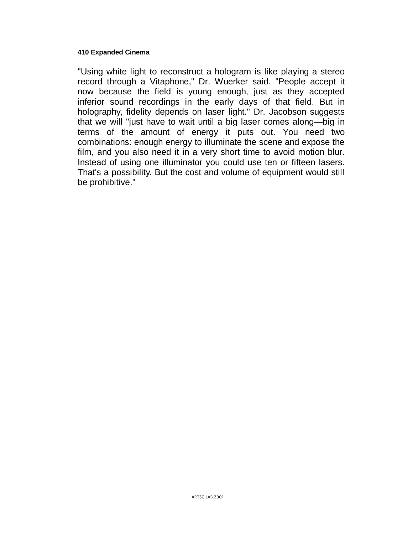"Using white light to reconstruct a hologram is like playing a stereo record through a Vitaphone," Dr. Wuerker said. "People accept it now because the field is young enough, just as they accepted inferior sound recordings in the early days of that field. But in holography, fidelity depends on laser light." Dr. Jacobson suggests that we will "just have to wait until a big laser comes along— big in terms of the amount of energy it puts out. You need two combinations: enough energy to illuminate the scene and expose the film, and you also need it in a very short time to avoid motion blur. Instead of using one illuminator you could use ten or fifteen lasers. That's a possibility. But the cost and volume of equipment would still be prohibitive."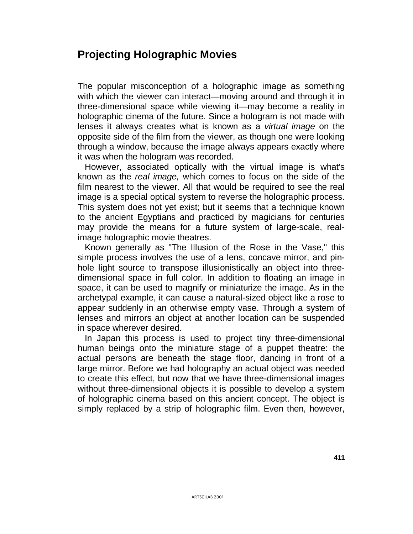# **Projecting Holographic Movies**

The popular misconception of a holographic image as something with which the viewer can interact—moving around and through it in three-dimensional space while viewing it— may become a reality in holographic cinema of the future. Since a hologram is not made with lenses it always creates what is known as a *virtual image* on the opposite side of the film from the viewer, as though one were looking through a window, because the image always appears exactly where it was when the hologram was recorded.

However, associated optically with the virtual image is what's known as the *real image,* which comes to focus on the side of the film nearest to the viewer. All that would be required to see the real image is a special optical system to reverse the holographic process. This system does not yet exist; but it seems that a technique known to the ancient Egyptians and practiced by magicians for centuries may provide the means for a future system of large-scale, realimage holographic movie theatres.

Known generally as "The Illusion of the Rose in the Vase," this simple process involves the use of a lens, concave mirror, and pinhole light source to transpose illusionistically an object into threedimensional space in full color. In addition to floating an image in space, it can be used to magnify or miniaturize the image. As in the archetypal example, it can cause a natural-sized object like a rose to appear suddenly in an otherwise empty vase. Through a system of lenses and mirrors an object at another location can be suspended in space wherever desired.

In Japan this process is used to project tiny three-dimensional human beings onto the miniature stage of a puppet theatre: the actual persons are beneath the stage floor, dancing in front of a large mirror. Before we had holography an actual object was needed to create this effect, but now that we have three-dimensional images without three-dimensional objects it is possible to develop a system of holographic cinema based on this ancient concept. The object is simply replaced by a strip of holographic film. Even then, however,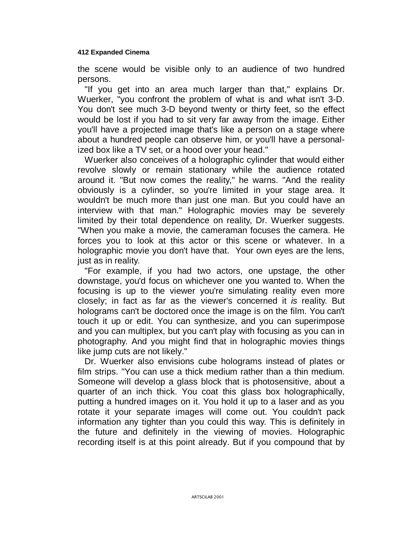the scene would be visible only to an audience of two hundred persons.

"If you get into an area much larger than that," explains Dr. Wuerker, "you confront the problem of what is and what isn't 3-D. You don't see much 3-D beyond twenty or thirty feet, so the effect would be lost if you had to sit very far away from the image. Either you'll have a projected image that's like a person on a stage where about a hundred people can observe him, or you'll have a personalized box like a TV set, or a hood over your head."

Wuerker also conceives of a holographic cylinder that would either revolve slowly or remain stationary while the audience rotated around it. "But now comes the reality," he warns. "And the reality obviously is a cylinder, so you're limited in your stage area. It wouldn't be much more than just one man. But you could have an interview with that man." Holographic movies may be severely limited by their total dependence on reality, Dr. Wuerker suggests. "When you make a movie, the cameraman focuses the camera. He forces you to look at this actor or this scene or whatever. In a holographic movie you don't have that. Your own eyes are the lens, just as in reality.

"For example, if you had two actors, one upstage, the other downstage, you'd focus on whichever one you wanted to. When the focusing is up to the viewer you're simulating reality even more closely; in fact as far as the viewer's concerned it *is* reality. But holograms can't be doctored once the image is on the film. You can't touch it up or edit. You can synthesize, and you can superimpose and you can multiplex, but you can't play with focusing as you can in photography. And you might find that in holographic movies things like jump cuts are not likely."

Dr. Wuerker also envisions cube holograms instead of plates or film strips. "You can use a thick medium rather than a thin medium. Someone will develop a glass block that is photosensitive, about a quarter of an inch thick. You coat this glass box holographically, putting a hundred images on it. You hold it up to a laser and as you rotate it your separate images will come out. You couldn't pack information any tighter than you could this way. This is definitely in the future and definitely in the viewing of movies. Holographic recording itself is at this point already. But if you compound that by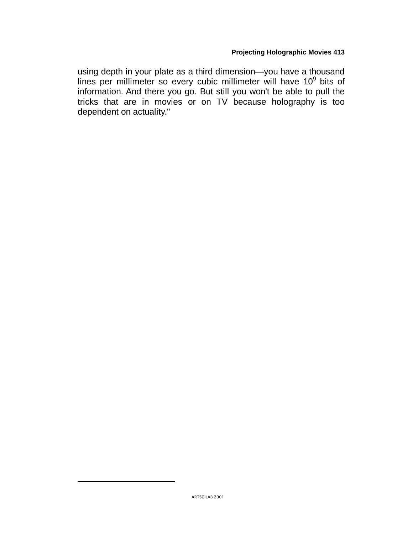using depth in your plate as a third dimension— you have a thousand lines per millimeter so every cubic millimeter will have  $10^9$  bits of information. And there you go. But still you won't be able to pull the tricks that are in movies or on TV because holography is too dependent on actuality."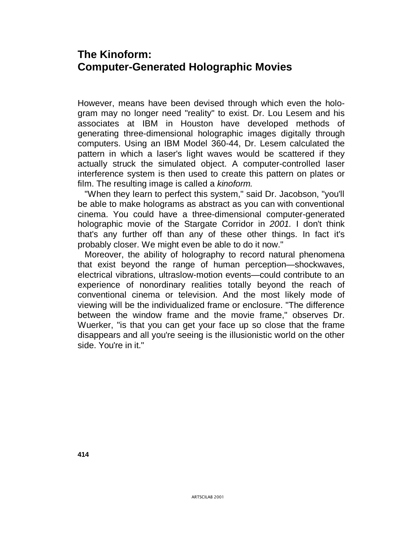# **The Kinoform: Computer-Generated Holographic Movies**

However, means have been devised through which even the hologram may no longer need "reality" to exist. Dr. Lou Lesem and his associates at IBM in Houston have developed methods of generating three-dimensional holographic images digitally through computers. Using an IBM Model 360-44, Dr. Lesem calculated the pattern in which a laser's light waves would be scattered if they actually struck the simulated object. A computer-controlled laser interference system is then used to create this pattern on plates or film. The resulting image is called a *kinoform.*

"When they learn to perfect this system," said Dr. Jacobson, "you'll be able to make holograms as abstract as you can with conventional cinema. You could have a three-dimensional computer-generated holographic movie of the Stargate Corridor in *2001.* I don't think that's any further off than any of these other things. In fact it's probably closer. We might even be able to do it now."

Moreover, the ability of holography to record natural phenomena that exist beyond the range of human perception— shockwaves, electrical vibrations, ultraslow-motion events— could contribute to an experience of nonordinary realities totally beyond the reach of conventional cinema or television. And the most likely mode of viewing will be the individualized frame or enclosure. "The difference between the window frame and the movie frame," observes Dr. Wuerker, "is that you can get your face up so close that the frame disappears and all you're seeing is the illusionistic world on the other side. You're in it."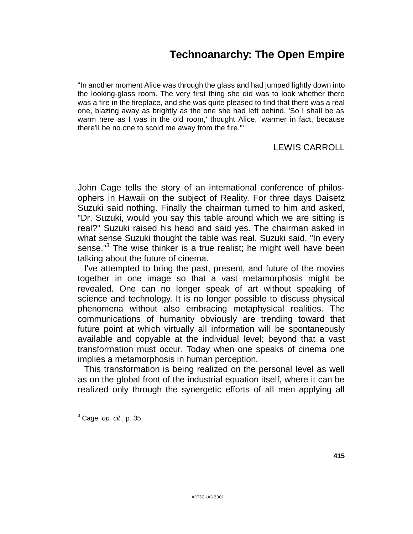# **Technoanarchy: The Open Empire**

"In another moment Alice was through the glass and had jumped lightly down into the looking-glass room. The very first thing she did was to look whether there was a fire in the fireplace, and she was quite pleased to find that there was a real one, blazing away as brightly as the one she had left behind. 'So I shall be as warm here as I was in the old room,' thought Alice, 'warmer in fact, because there'll be no one to scold me away from the fire.'"

### LEWIS CARROLL

John Cage tells the story of an international conference of philosophers in Hawaii on the subject of Reality. For three days Daisetz Suzuki said nothing. Finally the chairman turned to him and asked, "Dr. Suzuki, would you say this table around which we are sitting is real?" Suzuki raised his head and said yes. The chairman asked in what sense Suzuki thought the table was real. Suzuki said, "In every sense."<sup>3</sup> The wise thinker is a true realist; he might well have been talking about the future of cinema.

I've attempted to bring the past, present, and future of the movies together in one image so that a vast metamorphosis might be revealed. One can no longer speak of art without speaking of science and technology. It is no longer possible to discuss physical phenomena without also embracing metaphysical realities. The communications of humanity obviously are trending toward that future point at which virtually all information will be spontaneously available and copyable at the individual level; beyond that a vast transformation must occur. Today when one speaks of cinema one implies a metamorphosis in human perception.

This transformation is being realized on the personal level as well as on the global front of the industrial equation itself, where it can be realized only through the synergetic efforts of all men applying all

<sup>3</sup> Cage, *op. cit*., p. 35.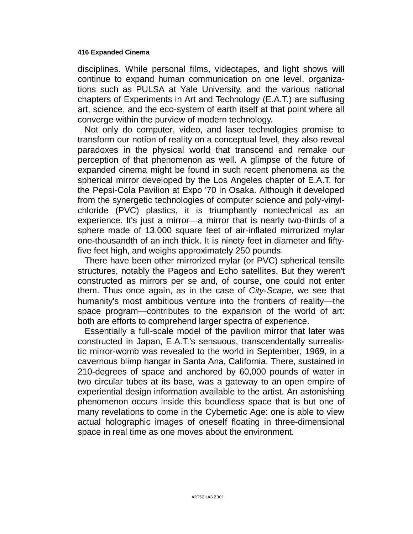disciplines. While personal films, videotapes, and light shows will continue to expand human communication on one level, organizations such as PULSA at Yale University, and the various national chapters of Experiments in Art and Technology (E.A.T.) are suffusing art, science, and the eco-system of earth itself at that point where all converge within the purview of modern technology.

Not only do computer, video, and laser technologies promise to transform our notion of reality on a conceptual level, they also reveal paradoxes in the physical world that transcend and remake our perception of that phenomenon as well. A glimpse of the future of expanded cinema might be found in such recent phenomena as the spherical mirror developed by the Los Angeles chapter of E.A.T. for the Pepsi-Cola Pavilion at Expo '70 in Osaka. Although it developed from the synergetic technologies of computer science and poly-vinylchloride (PVC) plastics, it is triumphantly nontechnical as an experience. It's just a mirror-a mirror that is nearly two-thirds of a sphere made of 13,000 square feet of air-inflated mirrorized mylar one-thousandth of an inch thick. It is ninety feet in diameter and fiftyfive feet high, and weighs approximately 250 pounds.

There have been other mirrorized mylar (or PVC) spherical tensile structures, notably the Pageos and Echo satellites. But they weren't constructed as mirrors per se and, of course, one could not enter them. Thus once again, as in the case of *City-Scape,* we see that humanity's most ambitious venture into the frontiers of reality--the space program— contributes to the expansion of the world of art: both are efforts to comprehend larger spectra of experience.

Essentially a full-scale model of the pavilion mirror that later was constructed in Japan, E.A.T.'s sensuous, transcendentally surrealistic mirror-womb was revealed to the world in September, 1969, in a cavernous blimp hangar in Santa Ana, California. There, sustained in 210-degrees of space and anchored by 60,000 pounds of water in two circular tubes at its base, was a gateway to an open empire of experiential design information available to the artist. An astonishing phenomenon occurs inside this boundless space that is but one of many revelations to come in the Cybernetic Age: one is able to view actual holographic images of oneself floating in three-dimensional space in real time as one moves about the environment.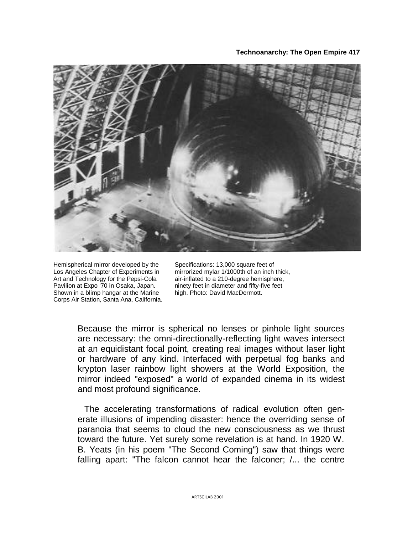#### **Technoanarchy: The Open Empire 417**



Hemispherical mirror developed by the Specifications: 13,000 square feet of Shown in a blimp hangar at the Marine Corps Air Station, Santa Ana, California.

Los Angeles Chapter of Experiments in mirrorized mylar 1/1000th of an inch thick, Art and Technology for the Pepsi-Cola air-inflated to a 210-degree hemisphere, Art and Technology for the Pepsi-Cola air-inflated to a 210-degree hemisphere,<br>Pavilion at Expo '70 in Osaka, Japan. minety feet in diameter and fifty-five feet ninety feet in diameter and fifty-five feet<br>high. Photo: David MacDermott.

Because the mirror is spherical no lenses or pinhole light sources are necessary: the omni-directionally-reflecting light waves intersect at an equidistant focal point, creating real images without laser light or hardware of any kind. Interfaced with perpetual fog banks and krypton laser rainbow light showers at the World Exposition, the mirror indeed "exposed" a world of expanded cinema in its widest and most profound significance.

The accelerating transformations of radical evolution often generate illusions of impending disaster: hence the overriding sense of paranoia that seems to cloud the new consciousness as we thrust toward the future. Yet surely some revelation is at hand. In 1920 W. B. Yeats (in his poem "The Second Coming") saw that things were falling apart: "The falcon cannot hear the falconer; /... the centre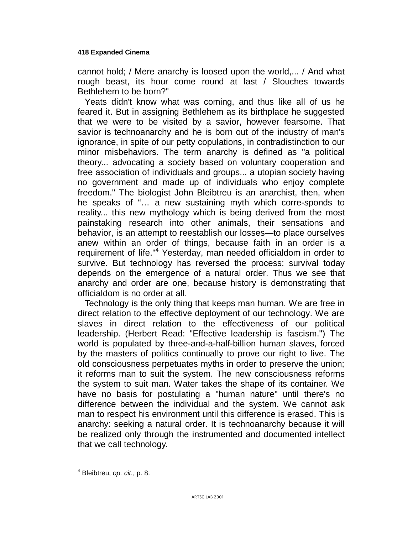cannot hold; / Mere anarchy is loosed upon the world,... / And what rough beast, its hour come round at last / Slouches towards Bethlehem to be born?"

Yeats didn't know what was coming, and thus like all of us he feared it. But in assigning Bethlehem as its birthplace he suggested that we were to be visited by a savior, however fearsome. That savior is technoanarchy and he is born out of the industry of man's ignorance, in spite of our petty copulations, in contradistinction to our minor misbehaviors. The term anarchy is defined as "a political theory... advocating a society based on voluntary cooperation and free association of individuals and groups... a utopian society having no government and made up of individuals who enjoy complete freedom." The biologist John Bleibtreu is an anarchist, then, when he speaks of "… a new sustaining myth which corre-sponds to reality... this new mythology which is being derived from the most painstaking research into other animals, their sensations and behavior, is an attempt to reestablish our losses— to place ourselves anew within an order of things, because faith in an order is a requirement of life."<sup>4</sup> Yesterday, man needed officialdom in order to survive. But technology has reversed the process: survival today depends on the emergence of a natural order. Thus we see that anarchy and order are one, because history is demonstrating that officialdom is no order at all.

Technology is the only thing that keeps man human. We are free in direct relation to the effective deployment of our technology. We are slaves in direct relation to the effectiveness of our political leadership. (Herbert Read: "Effective leadership is fascism.") The world is populated by three-and-a-half-billion human slaves, forced by the masters of politics continually to prove our right to live. The old consciousness perpetuates myths in order to preserve the union; it reforms man to suit the system. The new consciousness reforms the system to suit man. Water takes the shape of its container. We have no basis for postulating a "human nature" until there's no difference between the individual and the system. We cannot ask man to respect his environment until this difference is erased. This is anarchy: seeking a natural order. It is technoanarchy because it will be realized only through the instrumented and documented intellect that we call technology.

<sup>4</sup> Bleibtreu, *op. cit*., p. 8.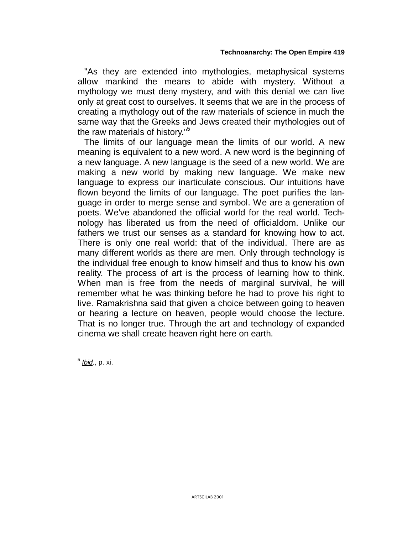"As they are extended into mythologies, metaphysical systems allow mankind the means to abide with mystery. Without a mythology we must deny mystery, and with this denial we can live only at great cost to ourselves. It seems that we are in the process of creating a mythology out of the raw materials of science in much the same way that the Greeks and Jews created their mythologies out of the raw materials of history."<sup>5</sup>

The limits of our language mean the limits of our world. A new meaning is equivalent to a new word. A new word is the beginning of a new language. A new language is the seed of a new world. We are making a new world by making new language. We make new language to express our inarticulate conscious. Our intuitions have flown beyond the limits of our language. The poet purifies the language in order to merge sense and symbol. We are a generation of poets. We've abandoned the official world for the real world. Technology has liberated us from the need of officialdom. Unlike our fathers we trust our senses as a standard for knowing how to act. There is only one real world: that of the individual. There are as many different worlds as there are men. Only through technology is the individual free enough to know himself and thus to know his own reality. The process of art is the process of learning how to think. When man is free from the needs of marginal survival, he will remember what he was thinking before he had to prove his right to live. Ramakrishna said that given a choice between going to heaven or hearing a lecture on heaven, people would choose the lecture. That is no longer true. Through the art and technology of expanded cinema we shall create heaven right here on earth.

5 *Ibid*., p. xi.